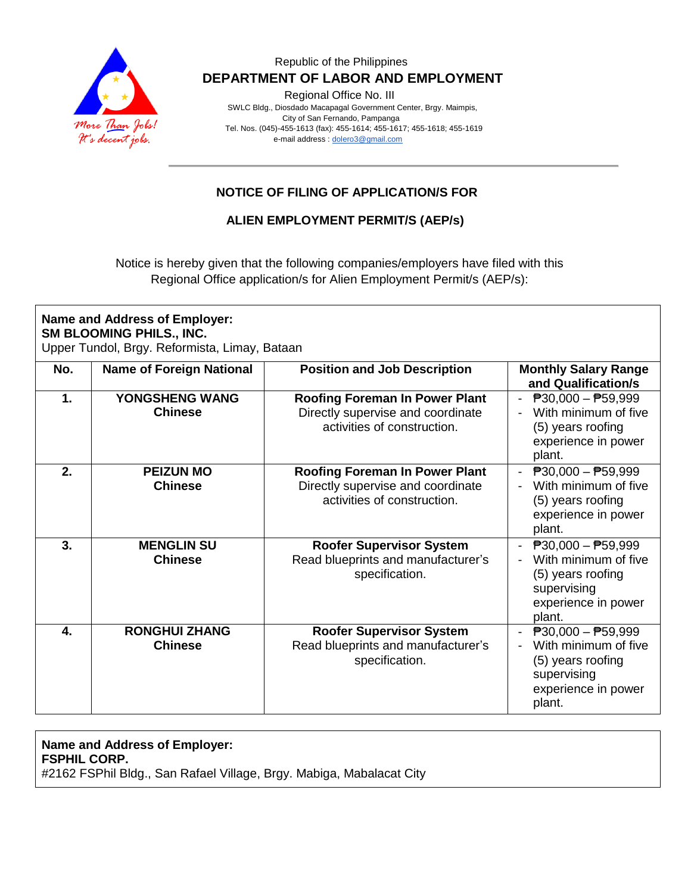

### Republic of the Philippines  **DEPARTMENT OF LABOR AND EMPLOYMENT**

Regional Office No. III

 SWLC Bldg., Diosdado Macapagal Government Center, Brgy. Maimpis, City of San Fernando, Pampanga Tel. Nos. (045)-455-1613 (fax): 455-1614; 455-1617; 455-1618; 455-1619 e-mail address [: dolero3@gmail.com](mailto:dolero3@gmail.com)

# **NOTICE OF FILING OF APPLICATION/S FOR**

### **ALIEN EMPLOYMENT PERMIT/S (AEP/s)**

Notice is hereby given that the following companies/employers have filed with this Regional Office application/s for Alien Employment Permit/s (AEP/s):

| <b>Name and Address of Employer:</b><br>SM BLOOMING PHILS., INC.<br>Upper Tundol, Brgy. Reformista, Limay, Bataan |                                        |                                                                                                           |                                                                                                                                        |
|-------------------------------------------------------------------------------------------------------------------|----------------------------------------|-----------------------------------------------------------------------------------------------------------|----------------------------------------------------------------------------------------------------------------------------------------|
| No.                                                                                                               | <b>Name of Foreign National</b>        | <b>Position and Job Description</b>                                                                       | <b>Monthly Salary Range</b><br>and Qualification/s                                                                                     |
| 1.                                                                                                                | YONGSHENG WANG<br><b>Chinese</b>       | <b>Roofing Foreman In Power Plant</b><br>Directly supervise and coordinate<br>activities of construction. | $\overline{P}30,000 - \overline{P}59,999$<br>With minimum of five<br>(5) years roofing<br>experience in power<br>plant.                |
| 2.                                                                                                                | <b>PEIZUN MO</b><br><b>Chinese</b>     | <b>Roofing Foreman In Power Plant</b><br>Directly supervise and coordinate<br>activities of construction. | $\overline{P}30,000 - \overline{P}59,999$<br>With minimum of five<br>(5) years roofing<br>experience in power<br>plant.                |
| 3.                                                                                                                | <b>MENGLIN SU</b><br><b>Chinese</b>    | <b>Roofer Supervisor System</b><br>Read blueprints and manufacturer's<br>specification.                   | $\overline{P}30,000 - \overline{P}59,999$<br>With minimum of five<br>(5) years roofing<br>supervising<br>experience in power<br>plant. |
| 4.                                                                                                                | <b>RONGHUI ZHANG</b><br><b>Chinese</b> | <b>Roofer Supervisor System</b><br>Read blueprints and manufacturer's<br>specification.                   | $\overline{P}30,000 - \overline{P}59,999$<br>With minimum of five<br>(5) years roofing<br>supervising<br>experience in power<br>plant. |

#### **Name and Address of Employer: FSPHIL CORP.** #2162 FSPhil Bldg., San Rafael Village, Brgy. Mabiga, Mabalacat City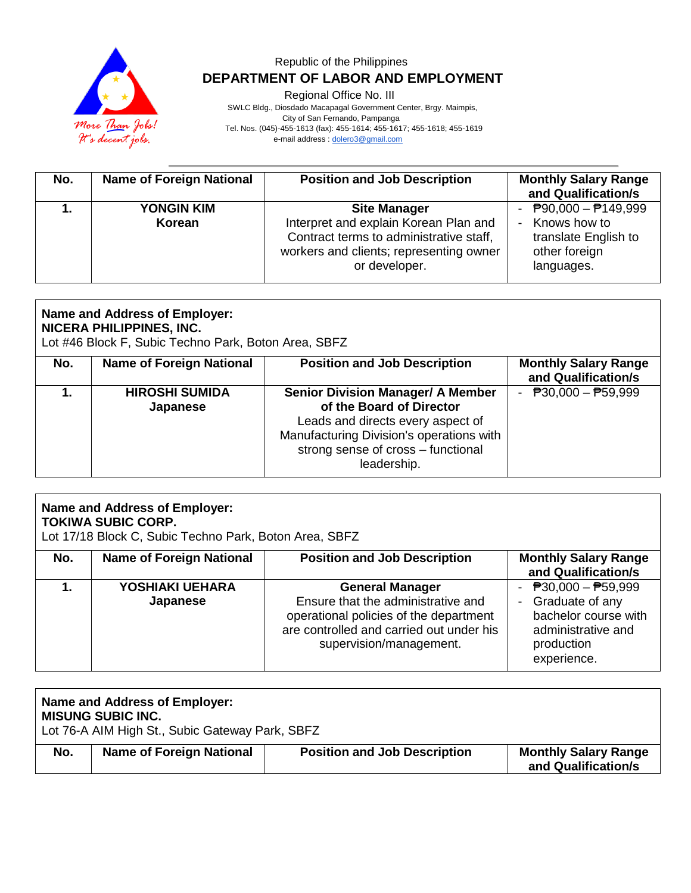

## Republic of the Philippines  **DEPARTMENT OF LABOR AND EMPLOYMENT**

Regional Office No. III

 SWLC Bldg., Diosdado Macapagal Government Center, Brgy. Maimpis, City of San Fernando, Pampanga Tel. Nos. (045)-455-1613 (fax): 455-1614; 455-1617; 455-1618; 455-1619 e-mail address [: dolero3@gmail.com](mailto:dolero3@gmail.com)

| No. | <b>Name of Foreign National</b> | <b>Position and Job Description</b>                                                                                                                                 | <b>Monthly Salary Range</b><br>and Qualification/s                                                                |
|-----|---------------------------------|---------------------------------------------------------------------------------------------------------------------------------------------------------------------|-------------------------------------------------------------------------------------------------------------------|
|     | <b>YONGIN KIM</b><br>Korean     | <b>Site Manager</b><br>Interpret and explain Korean Plan and<br>Contract terms to administrative staff,<br>workers and clients; representing owner<br>or developer. | $\overline{P}90,000 - \overline{P}149,999$<br>Knows how to<br>translate English to<br>other foreign<br>languages. |

| <b>Name and Address of Employer:</b><br><b>NICERA PHILIPPINES, INC.</b><br>Lot #46 Block F, Subic Techno Park, Boton Area, SBFZ |                                   |                                                                                                                                                                                                            |                                                    |
|---------------------------------------------------------------------------------------------------------------------------------|-----------------------------------|------------------------------------------------------------------------------------------------------------------------------------------------------------------------------------------------------------|----------------------------------------------------|
| No.                                                                                                                             | <b>Name of Foreign National</b>   | <b>Position and Job Description</b>                                                                                                                                                                        | <b>Monthly Salary Range</b><br>and Qualification/s |
|                                                                                                                                 | <b>HIROSHI SUMIDA</b><br>Japanese | <b>Senior Division Manager/ A Member</b><br>of the Board of Director<br>Leads and directs every aspect of<br>Manufacturing Division's operations with<br>strong sense of cross - functional<br>leadership. | $\overline{P}30,000 - \overline{P}59,999$          |

| Name and Address of Employer:<br><b>TOKIWA SUBIC CORP.</b><br>Lot 17/18 Block C, Subic Techno Park, Boton Area, SBFZ |                                 |                                                                                                                                                                               |                                                                                                                       |
|----------------------------------------------------------------------------------------------------------------------|---------------------------------|-------------------------------------------------------------------------------------------------------------------------------------------------------------------------------|-----------------------------------------------------------------------------------------------------------------------|
| No.                                                                                                                  | <b>Name of Foreign National</b> | <b>Position and Job Description</b>                                                                                                                                           | <b>Monthly Salary Range</b><br>and Qualification/s                                                                    |
|                                                                                                                      | YOSHIAKI UEHARA<br>Japanese     | <b>General Manager</b><br>Ensure that the administrative and<br>operational policies of the department<br>are controlled and carried out under his<br>supervision/management. | - $P30,000 - P59,999$<br>- Graduate of any<br>bachelor course with<br>administrative and<br>production<br>experience. |

|     | Name and Address of Employer:<br><b>MISUNG SUBIC INC.</b><br>Lot 76-A AIM High St., Subic Gateway Park, SBFZ |                                     |                                                    |  |  |
|-----|--------------------------------------------------------------------------------------------------------------|-------------------------------------|----------------------------------------------------|--|--|
| No. | <b>Name of Foreign National</b>                                                                              | <b>Position and Job Description</b> | <b>Monthly Salary Range</b><br>and Qualification/s |  |  |